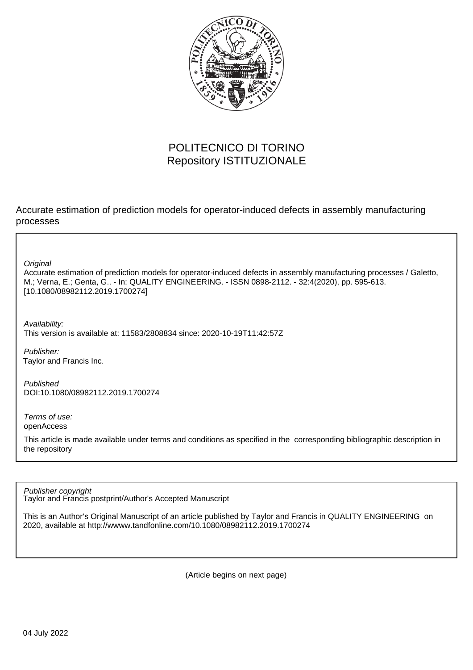

## POLITECNICO DI TORINO Repository ISTITUZIONALE

Accurate estimation of prediction models for operator-induced defects in assembly manufacturing processes

**Original** 

Accurate estimation of prediction models for operator-induced defects in assembly manufacturing processes / Galetto, M.; Verna, E.; Genta, G.. - In: QUALITY ENGINEERING. - ISSN 0898-2112. - 32:4(2020), pp. 595-613. [10.1080/08982112.2019.1700274]

Availability:

This version is available at: 11583/2808834 since: 2020-10-19T11:42:57Z

Publisher: Taylor and Francis Inc.

Published DOI:10.1080/08982112.2019.1700274

Terms of use: openAccess

This article is made available under terms and conditions as specified in the corresponding bibliographic description in the repository

Publisher copyright

Taylor and Francis postprint/Author's Accepted Manuscript

This is an Author's Original Manuscript of an article published by Taylor and Francis in QUALITY ENGINEERING on 2020, available at http://wwww.tandfonline.com/10.1080/08982112.2019.1700274

(Article begins on next page)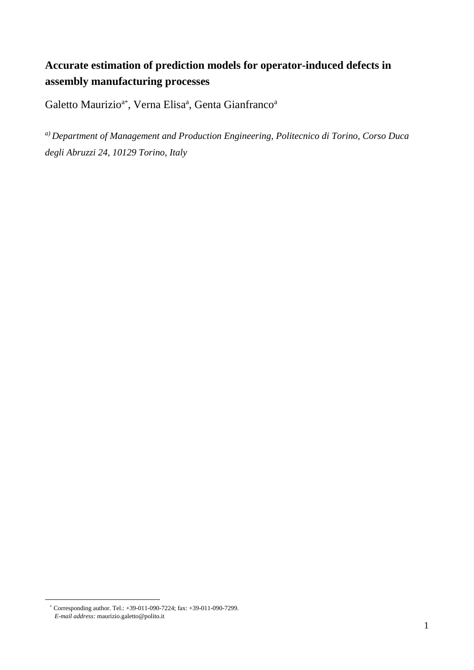# **Accurate estimation of prediction models for operator-induced defects in assembly manufacturing processes**

Galetto Maurizio<sup>a\*</sup>, Verna Elisa<sup>a</sup>, Genta Gianfranco<sup>a</sup>

*a) Department of Management and Production Engineering, Politecnico di Torino, Corso Duca degli Abruzzi 24, 10129 Torino, Italy*

<sup>\*</sup> Corresponding author. Tel.: +39-011-090-7224; fax: +39-011-090-7299. *E-mail address:* maurizio.galetto@polito.it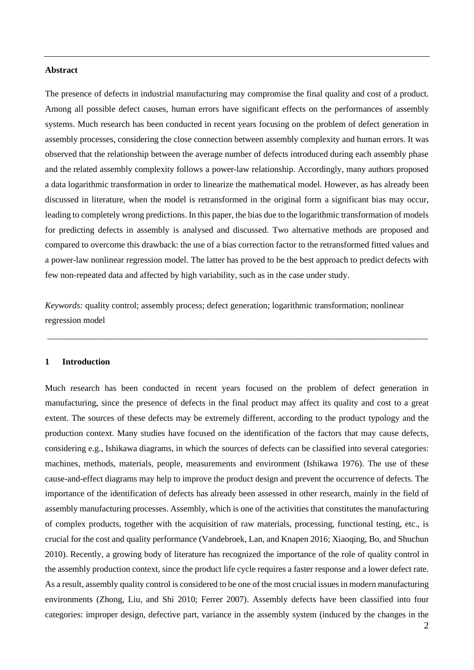## **Abstract**

The presence of defects in industrial manufacturing may compromise the final quality and cost of a product. Among all possible defect causes, human errors have significant effects on the performances of assembly systems. Much research has been conducted in recent years focusing on the problem of defect generation in assembly processes, considering the close connection between assembly complexity and human errors. It was observed that the relationship between the average number of defects introduced during each assembly phase and the related assembly complexity follows a power-law relationship. Accordingly, many authors proposed a data logarithmic transformation in order to linearize the mathematical model. However, as has already been discussed in literature, when the model is retransformed in the original form a significant bias may occur, leading to completely wrong predictions. In this paper, the bias due to the logarithmic transformation of models for predicting defects in assembly is analysed and discussed. Two alternative methods are proposed and compared to overcome this drawback: the use of a bias correction factor to the retransformed fitted values and a power-law nonlinear regression model. The latter has proved to be the best approach to predict defects with few non-repeated data and affected by high variability, such as in the case under study.

*Keywords:* quality control; assembly process; defect generation; logarithmic transformation; nonlinear regression model

\_\_\_\_\_\_\_\_\_\_\_\_\_\_\_\_\_\_\_\_\_\_\_\_\_\_\_\_\_\_\_\_\_\_\_\_\_\_\_\_\_\_\_\_\_\_\_\_\_\_\_\_\_\_\_\_\_\_\_\_\_\_\_\_\_\_\_\_\_\_\_\_\_\_\_\_\_\_\_\_\_\_\_\_\_\_\_

#### **1 Introduction**

Much research has been conducted in recent years focused on the problem of defect generation in manufacturing, since the presence of defects in the final product may affect its quality and cost to a great extent. The sources of these defects may be extremely different, according to the product typology and the production context. Many studies have focused on the identification of the factors that may cause defects, considering e.g., Ishikawa diagrams, in which the sources of defects can be classified into several categories: machines, methods, materials, people, measurements and environment (Ishikawa 1976). The use of these cause-and-effect diagrams may help to improve the product design and prevent the occurrence of defects. The importance of the identification of defects has already been assessed in other research, mainly in the field of assembly manufacturing processes. Assembly, which is one of the activities that constitutes the manufacturing of complex products, together with the acquisition of raw materials, processing, functional testing, etc., is crucial for the cost and quality performance (Vandebroek, Lan, and Knapen 2016; Xiaoqing, Bo, and Shuchun 2010). Recently, a growing body of literature has recognized the importance of the role of quality control in the assembly production context, since the product life cycle requires a faster response and a lower defect rate. As a result, assembly quality control is considered to be one of the most crucial issues in modern manufacturing environments (Zhong, Liu, and Shi 2010; Ferrer 2007). Assembly defects have been classified into four categories: improper design, defective part, variance in the assembly system (induced by the changes in the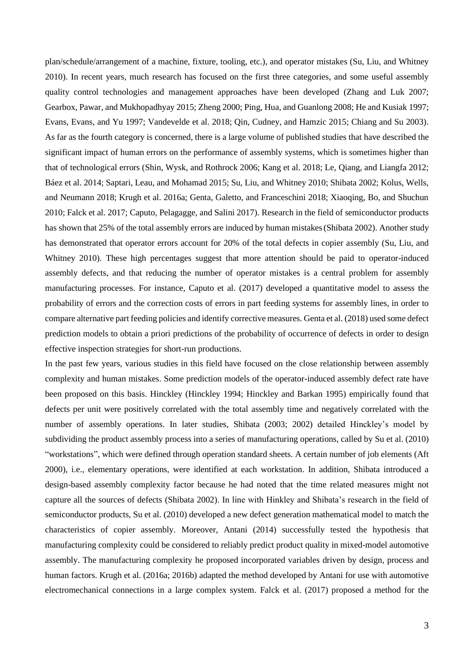plan/schedule/arrangement of a machine, fixture, tooling, etc.), and operator mistakes (Su, Liu, and Whitney 2010). In recent years, much research has focused on the first three categories, and some useful assembly quality control technologies and management approaches have been developed (Zhang and Luk 2007; Gearbox, Pawar, and Mukhopadhyay 2015; Zheng 2000; Ping, Hua, and Guanlong 2008; He and Kusiak 1997; Evans, Evans, and Yu 1997; Vandevelde et al. 2018; Qin, Cudney, and Hamzic 2015; Chiang and Su 2003). As far as the fourth category is concerned, there is a large volume of published studies that have described the significant impact of human errors on the performance of assembly systems, which is sometimes higher than that of technological errors (Shin, Wysk, and Rothrock 2006; Kang et al. 2018; Le, Qiang, and Liangfa 2012; Báez et al. 2014; Saptari, Leau, and Mohamad 2015; Su, Liu, and Whitney 2010; Shibata 2002; Kolus, Wells, and Neumann 2018; Krugh et al. 2016a; Genta, Galetto, and Franceschini 2018; Xiaoqing, Bo, and Shuchun 2010; Falck et al. 2017; Caputo, Pelagagge, and Salini 2017). Research in the field of semiconductor products has shown that 25% of the total assembly errors are induced by human mistakes(Shibata 2002). Another study has demonstrated that operator errors account for 20% of the total defects in copier assembly (Su, Liu, and Whitney 2010). These high percentages suggest that more attention should be paid to operator-induced assembly defects, and that reducing the number of operator mistakes is a central problem for assembly manufacturing processes. For instance, Caputo et al. (2017) developed a quantitative model to assess the probability of errors and the correction costs of errors in part feeding systems for assembly lines, in order to compare alternative part feeding policies and identify corrective measures. Genta et al. (2018) used some defect prediction models to obtain a priori predictions of the probability of occurrence of defects in order to design effective inspection strategies for short-run productions.

In the past few years, various studies in this field have focused on the close relationship between assembly complexity and human mistakes. Some prediction models of the operator-induced assembly defect rate have been proposed on this basis. Hinckley (Hinckley 1994; Hinckley and Barkan 1995) empirically found that defects per unit were positively correlated with the total assembly time and negatively correlated with the number of assembly operations. In later studies, Shibata (2003; 2002) detailed Hinckley's model by subdividing the product assembly process into a series of manufacturing operations, called by Su et al. (2010) "workstations", which were defined through operation standard sheets. A certain number of job elements (Aft 2000), i.e., elementary operations, were identified at each workstation. In addition, Shibata introduced a design-based assembly complexity factor because he had noted that the time related measures might not capture all the sources of defects (Shibata 2002). In line with Hinkley and Shibata's research in the field of semiconductor products, Su et al. (2010) developed a new defect generation mathematical model to match the characteristics of copier assembly. Moreover, Antani (2014) successfully tested the hypothesis that manufacturing complexity could be considered to reliably predict product quality in mixed-model automotive assembly. The manufacturing complexity he proposed incorporated variables driven by design, process and human factors. Krugh et al. (2016a; 2016b) adapted the method developed by Antani for use with automotive electromechanical connections in a large complex system. Falck et al. (2017) proposed a method for the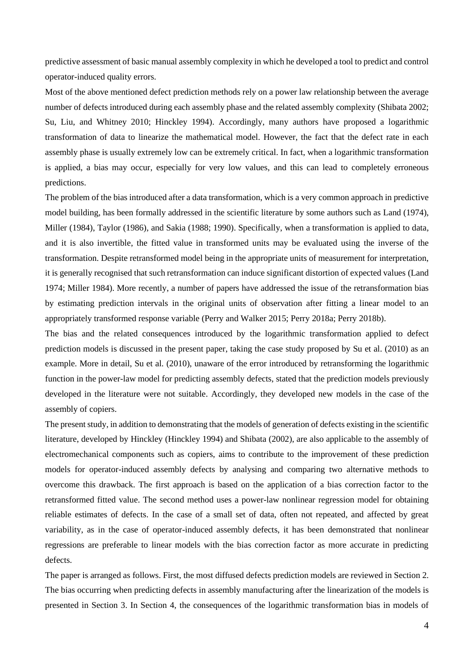predictive assessment of basic manual assembly complexity in which he developed a tool to predict and control operator-induced quality errors.

Most of the above mentioned defect prediction methods rely on a power law relationship between the average number of defects introduced during each assembly phase and the related assembly complexity (Shibata 2002; Su, Liu, and Whitney 2010; Hinckley 1994). Accordingly, many authors have proposed a logarithmic transformation of data to linearize the mathematical model. However, the fact that the defect rate in each assembly phase is usually extremely low can be extremely critical. In fact, when a logarithmic transformation is applied, a bias may occur, especially for very low values, and this can lead to completely erroneous predictions.

The problem of the bias introduced after a data transformation, which is a very common approach in predictive model building, has been formally addressed in the scientific literature by some authors such as Land (1974), Miller (1984), Taylor (1986), and Sakia (1988; 1990). Specifically, when a transformation is applied to data, and it is also invertible, the fitted value in transformed units may be evaluated using the inverse of the transformation. Despite retransformed model being in the appropriate units of measurement for interpretation, it is generally recognised that such retransformation can induce significant distortion of expected values (Land 1974; Miller 1984). More recently, a number of papers have addressed the issue of the retransformation bias by estimating prediction intervals in the original units of observation after fitting a linear model to an appropriately transformed response variable (Perry and Walker 2015; Perry 2018a; Perry 2018b).

The bias and the related consequences introduced by the logarithmic transformation applied to defect prediction models is discussed in the present paper, taking the case study proposed by Su et al. (2010) as an example. More in detail, Su et al. (2010), unaware of the error introduced by retransforming the logarithmic function in the power-law model for predicting assembly defects, stated that the prediction models previously developed in the literature were not suitable. Accordingly, they developed new models in the case of the assembly of copiers.

The present study, in addition to demonstrating that the models of generation of defects existing in the scientific literature, developed by Hinckley (Hinckley 1994) and Shibata (2002), are also applicable to the assembly of electromechanical components such as copiers, aims to contribute to the improvement of these prediction models for operator-induced assembly defects by analysing and comparing two alternative methods to overcome this drawback. The first approach is based on the application of a bias correction factor to the retransformed fitted value. The second method uses a power-law nonlinear regression model for obtaining reliable estimates of defects. In the case of a small set of data, often not repeated, and affected by great variability, as in the case of operator-induced assembly defects, it has been demonstrated that nonlinear regressions are preferable to linear models with the bias correction factor as more accurate in predicting defects.

The paper is arranged as follows. First, the most diffused defects prediction models are reviewed in Section 2. The bias occurring when predicting defects in assembly manufacturing after the linearization of the models is presented in Section 3. In Section 4, the consequences of the logarithmic transformation bias in models of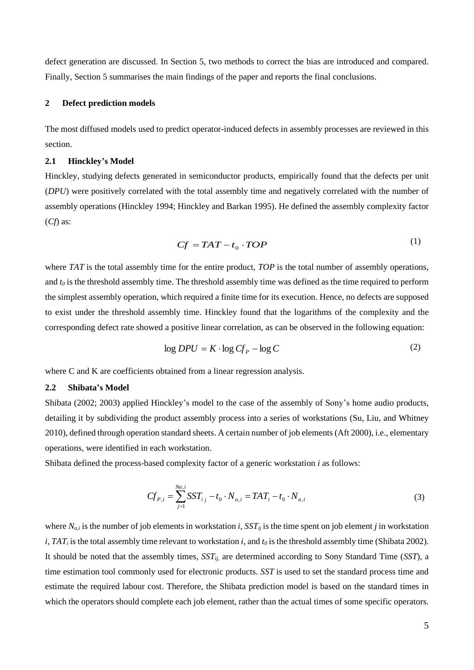defect generation are discussed. In Section 5, two methods to correct the bias are introduced and compared. Finally, Section 5 summarises the main findings of the paper and reports the final conclusions.

## **2 Defect prediction models**

The most diffused models used to predict operator-induced defects in assembly processes are reviewed in this section.

## **2.1 Hinckley's Model**

Hinckley, studying defects generated in semiconductor products, empirically found that the defects per unit (*DPU*) were positively correlated with the total assembly time and negatively correlated with the number of assembly operations (Hinckley 1994; Hinckley and Barkan 1995). He defined the assembly complexity factor (*Cf*) as:

$$
Cf = TAT - t_0 \cdot TOP \tag{1}
$$

where *TAT* is the total assembly time for the entire product, *TOP* is the total number of assembly operations, and *t<sup>0</sup>* is the threshold assembly time. The threshold assembly time was defined as the time required to perform the simplest assembly operation, which required a finite time for its execution. Hence, no defects are supposed to exist under the threshold assembly time. Hinckley found that the logarithms of the complexity and the corresponding defect rate showed a positive linear correlation, as can be observed in the following equation:

$$
\log DPU = K \cdot \log C f_p - \log C \tag{2}
$$

where C and K are coefficients obtained from a linear regression analysis.

#### **2.2 Shibata's Model**

Shibata (2002; 2003) applied Hinckley's model to the case of the assembly of Sony's home audio products, detailing it by subdividing the product assembly process into a series of workstations (Su, Liu, and Whitney 2010), defined through operation standard sheets. A certain number of job elements(Aft 2000), i.e., elementary operations, were identified in each workstation.

Shibata defined the process-based complexity factor of a generic workstation *i* as follows:

$$
Cf_{P,i} = \sum_{j=1}^{Na,i} SST_{i,j} - t_0 \cdot N_{a,i} = TAT_i - t_0 \cdot N_{a,i}
$$
 (3)

where  $N_{a,i}$  is the number of job elements in workstation *i*,  $SST_{ii}$  is the time spent on job element *j* in workstation *i*, *TAT<sup>i</sup>* is the total assembly time relevant to workstation *i*, and *t<sup>0</sup>* is the threshold assembly time (Shibata 2002). It should be noted that the assembly times, *SSTij,* are determined according to Sony Standard Time (*SST*), a time estimation tool commonly used for electronic products. *SST* is used to set the standard process time and estimate the required labour cost. Therefore, the Shibata prediction model is based on the standard times in which the operators should complete each job element, rather than the actual times of some specific operators.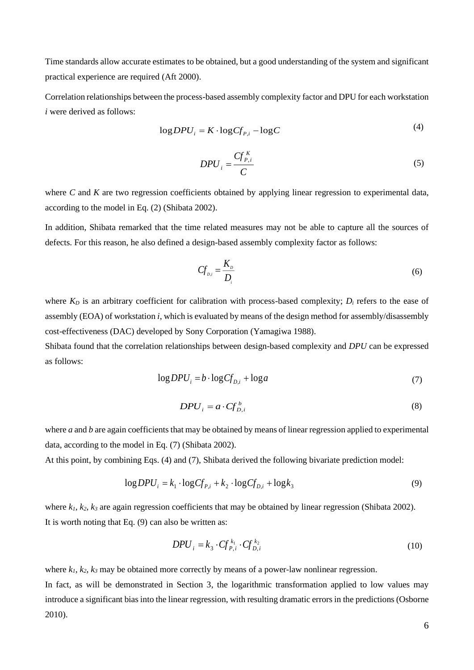Time standards allow accurate estimates to be obtained, but a good understanding of the system and significant practical experience are required (Aft 2000).

Correlation relationships between the process-based assembly complexity factor and DPU for each workstation *i* were derived as follows:

$$
\log DPU_i = K \cdot \log Cf_{P,i} - \log C \tag{4}
$$

$$
DPU_i = \frac{C f_{P,i}^K}{C}
$$
 (5)

where *C* and *K* are two regression coefficients obtained by applying linear regression to experimental data, according to the model in Eq. (2) (Shibata 2002).

In addition, Shibata remarked that the time related measures may not be able to capture all the sources of defects. For this reason, he also defined a design-based assembly complexity factor as follows:

$$
Cf_{D,i} = \frac{K_D}{D_i} \tag{6}
$$

where  $K_D$  is an arbitrary coefficient for calibration with process-based complexity;  $D_i$  refers to the ease of assembly (EOA) of workstation *i*, which is evaluated by means of the design method for assembly/disassembly cost-effectiveness (DAC) developed by Sony Corporation (Yamagiwa 1988).

Shibata found that the correlation relationships between design-based complexity and *DPU* can be expressed as follows:

$$
\log DPU_i = b \cdot \log Cf_{D,i} + \log a \tag{7}
$$

$$
DPU_i = a \cdot Cf_{D,i}^b \tag{8}
$$

where *a* and *b* are again coefficients that may be obtained by means of linear regression applied to experimental data, according to the model in Eq. (7) (Shibata 2002).

At this point, by combining Eqs. (4) and (7), Shibata derived the following bivariate prediction model:

$$
\log DPU_i = k_1 \cdot \log Cf_{P,i} + k_2 \cdot \log Cf_{D,i} + \log k_3 \tag{9}
$$

where  $k_1, k_2, k_3$  are again regression coefficients that may be obtained by linear regression (Shibata 2002). It is worth noting that Eq. (9) can also be written as:

$$
DPU_i = k_3 \cdot Cf_{P,i}^{k_1} \cdot Cf_{D,i}^{k_2}
$$
 (10)

where  $k_1, k_2, k_3$  may be obtained more correctly by means of a power-law nonlinear regression.

In fact, as will be demonstrated in Section 3, the logarithmic transformation applied to low values may introduce a significant bias into the linear regression, with resulting dramatic errors in the predictions (Osborne 2010).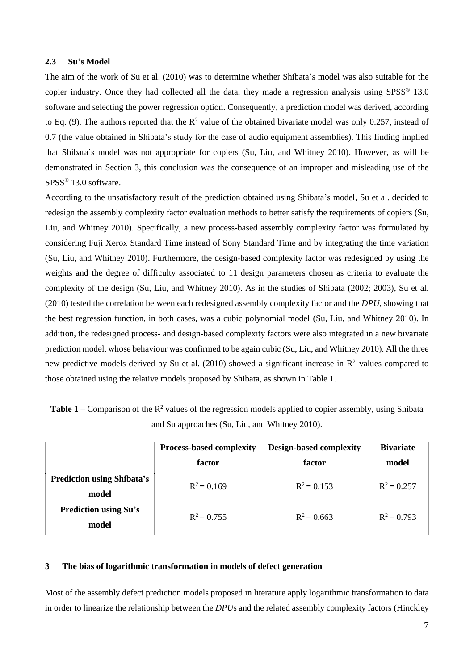## **2.3 Su's Model**

The aim of the work of Su et al. (2010) was to determine whether Shibata's model was also suitable for the copier industry. Once they had collected all the data, they made a regression analysis using SPSS® 13.0 software and selecting the power regression option. Consequently, a prediction model was derived, according to Eq. (9). The authors reported that the  $\mathbb{R}^2$  value of the obtained bivariate model was only 0.257, instead of 0.7 (the value obtained in Shibata's study for the case of audio equipment assemblies). This finding implied that Shibata's model was not appropriate for copiers (Su, Liu, and Whitney 2010). However, as will be demonstrated in Section 3, this conclusion was the consequence of an improper and misleading use of the SPSS® 13.0 software.

According to the unsatisfactory result of the prediction obtained using Shibata's model, Su et al. decided to redesign the assembly complexity factor evaluation methods to better satisfy the requirements of copiers (Su, Liu, and Whitney 2010). Specifically, a new process-based assembly complexity factor was formulated by considering Fuji Xerox Standard Time instead of Sony Standard Time and by integrating the time variation (Su, Liu, and Whitney 2010). Furthermore, the design-based complexity factor was redesigned by using the weights and the degree of difficulty associated to 11 design parameters chosen as criteria to evaluate the complexity of the design (Su, Liu, and Whitney 2010). As in the studies of Shibata (2002; 2003), Su et al. (2010) tested the correlation between each redesigned assembly complexity factor and the *DPU*, showing that the best regression function, in both cases, was a cubic polynomial model (Su, Liu, and Whitney 2010). In addition, the redesigned process- and design-based complexity factors were also integrated in a new bivariate prediction model, whose behaviour was confirmed to be again cubic (Su, Liu, and Whitney 2010). All the three new predictive models derived by Su et al. (2010) showed a significant increase in  $\mathbb{R}^2$  values compared to those obtained using the relative models proposed by Shibata, as shown in Table 1.

| <b>Table 1</b> – Comparison of the $\mathbb{R}^2$ values of the regression models applied to copier assembly, using Shibata |
|-----------------------------------------------------------------------------------------------------------------------------|
| and Su approaches (Su, Liu, and Whitney 2010).                                                                              |

|                                            | <b>Process-based complexity</b><br>factor | <b>Design-based complexity</b><br>factor | <b>Bivariate</b><br>model |
|--------------------------------------------|-------------------------------------------|------------------------------------------|---------------------------|
| <b>Prediction using Shibata's</b><br>model | $R^2 = 0.169$                             | $R^2 = 0.153$                            | $R^2 = 0.257$             |
| <b>Prediction using Su's</b><br>model      | $R^2 = 0.755$                             | $R^2 = 0.663$                            | $R^2 = 0.793$             |

## **3 The bias of logarithmic transformation in models of defect generation**

Most of the assembly defect prediction models proposed in literature apply logarithmic transformation to data in order to linearize the relationship between the *DPU*s and the related assembly complexity factors (Hinckley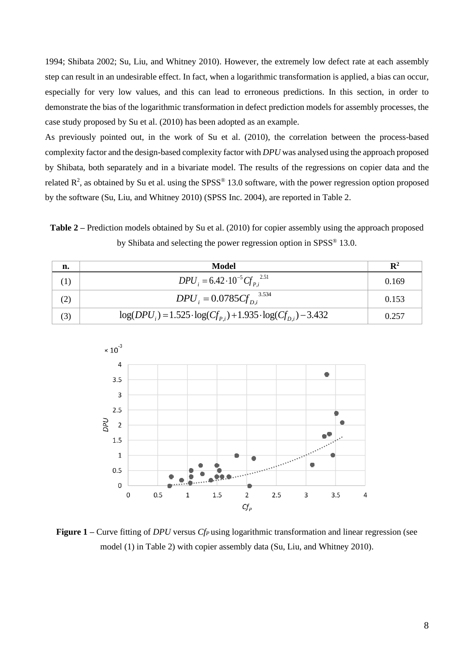1994; Shibata 2002; Su, Liu, and Whitney 2010). However, the extremely low defect rate at each assembly step can result in an undesirable effect. In fact, when a logarithmic transformation is applied, a bias can occur, especially for very low values, and this can lead to erroneous predictions. In this section, in order to demonstrate the bias of the logarithmic transformation in defect prediction models for assembly processes, the case study proposed by Su et al. (2010) has been adopted as an example.

As previously pointed out, in the work of Su et al. (2010), the correlation between the process-based complexity factor and the design-based complexity factor with *DPU* was analysed using the approach proposed by Shibata, both separately and in a bivariate model. The results of the regressions on copier data and the related  $\mathbb{R}^2$ , as obtained by Su et al. using the SPSS® 13.0 software, with the power regression option proposed by the software (Su, Liu, and Whitney 2010) (SPSS Inc. 2004), are reported in Table 2.

**Table 2** – Prediction models obtained by Su et al. (2010) for copier assembly using the approach proposed by Shibata and selecting the power regression option in SPSS® 13.0.

| n.  | Model                                                               | $\mathbf{R}^2$ |
|-----|---------------------------------------------------------------------|----------------|
|     | $DPU_i = 6.42 \cdot 10^{-5} C f_{pi}^{2.51}$                        | 0.169          |
| (2) | $DPU_i = 0.0785 C f_{Di}^{3.534}$                                   | 0.153          |
| (3) | $log(DPUi) = 1.525 \cdot log(Cfpi) + 1.935 \cdot log(Cfpi) - 3.432$ | 0.257          |



**Figure 1** – Curve fitting of *DPU* versus *Cf<sub>P</sub>* using logarithmic transformation and linear regression (see model (1) in Table 2) with copier assembly data (Su, Liu, and Whitney 2010).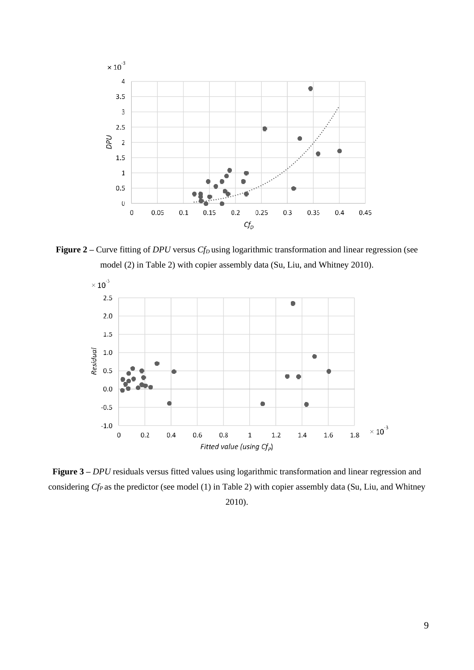

**Figure 2** – Curve fitting of *DPU* versus *Cf<sub>D</sub>* using logarithmic transformation and linear regression (see model (2) in Table 2) with copier assembly data (Su, Liu, and Whitney 2010).



**Figure 3 –** *DPU* residuals versus fitted values using logarithmic transformation and linear regression and considering *CfP* as the predictor (see model (1) in Table 2) with copier assembly data (Su, Liu, and Whitney 2010).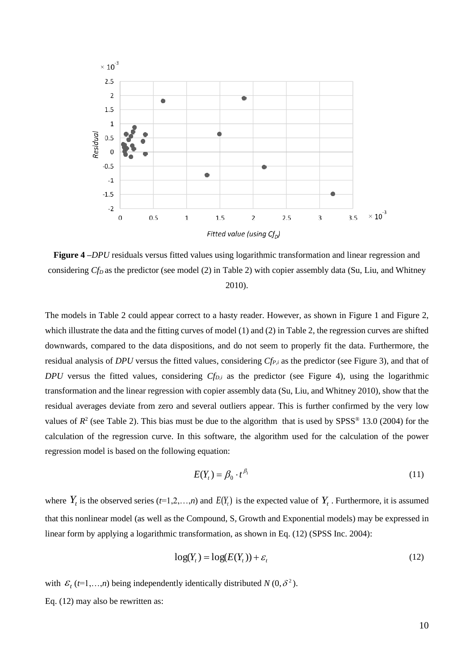

**Figure 4 –***DPU* residuals versus fitted values using logarithmic transformation and linear regression and considering *CfD* as the predictor (see model (2) in Table 2) with copier assembly data (Su, Liu, and Whitney 2010).

The models in Table 2 could appear correct to a hasty reader. However, as shown in Figure 1 and Figure 2, which illustrate the data and the fitting curves of model (1) and (2) in Table 2, the regression curves are shifted downwards, compared to the data dispositions, and do not seem to properly fit the data. Furthermore, the residual analysis of *DPU* versus the fitted values, considering *CfP,i* as the predictor (see Figure 3), and that of *DPU* versus the fitted values, considering *CfD,i* as the predictor (see Figure 4), using the logarithmic transformation and the linear regression with copier assembly data (Su, Liu, and Whitney 2010), show that the residual averages deviate from zero and several outliers appear. This is further confirmed by the very low values of  $R^2$  (see Table 2). This bias must be due to the algorithm that is used by SPSS<sup>®</sup> 13.0 (2004) for the calculation of the regression curve. In this software, the algorithm used for the calculation of the power regression model is based on the following equation:

$$
E(Y_t) = \beta_0 \cdot t^{\beta_1} \tag{11}
$$

where  $Y_t$  is the observed series  $(t=1,2,\ldots,n)$  and  $E(Y_t)$  is the expected value of  $Y_t$ . Furthermore, it is assumed that this nonlinear model (as well as the Compound, S, Growth and Exponential models) may be expressed in linear form by applying a logarithmic transformation, as shown in Eq. (12) (SPSS Inc. 2004):

$$
log(Yt) = log(E(Yt)) + \varepsilont
$$
\n(12)

with  $\mathcal{E}_t$  (*t*=1,...,*n*) being independently identically distributed *N* (0,  $\delta^2$ ).

Eq. (12) may also be rewritten as: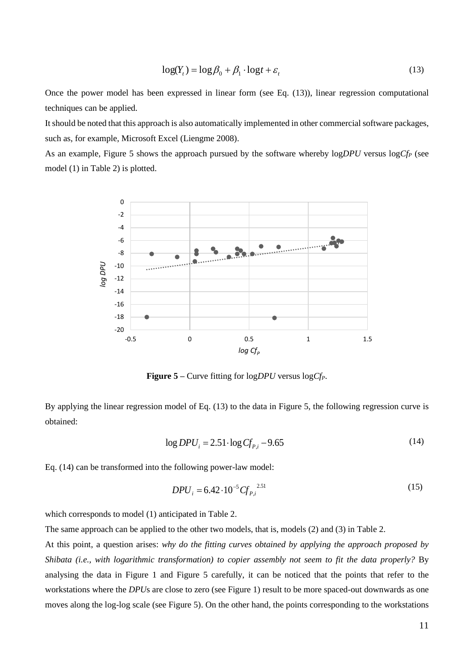$$
\log(Y_t) = \log \beta_0 + \beta_1 \cdot \log t + \varepsilon_t \tag{13}
$$

Once the power model has been expressed in linear form (see Eq. (13)), linear regression computational techniques can be applied.

It should be noted that this approach is also automatically implemented in other commercial software packages, such as, for example, Microsoft Excel (Liengme 2008).

As an example, Figure 5 shows the approach pursued by the software whereby log*DPU* versus log*Cf<sup>P</sup>* (see model (1) in Table 2) is plotted.



**Figure 5 –** Curve fitting for log*DPU* versus log*CfP*.

By applying the linear regression model of Eq. (13) to the data in Figure 5, the following regression curve is obtained:

$$
\log DPU_i = 2.51 \cdot \log C f_{P,i} - 9.65\tag{14}
$$

Eq. (14) can be transformed into the following power-law model:

$$
DPU_i = 6.42 \cdot 10^{-5} \, G_{P,i}^{2.51} \tag{15}
$$

which corresponds to model (1) anticipated in Table 2.

The same approach can be applied to the other two models, that is, models (2) and (3) in Table 2.

At this point, a question arises: *why do the fitting curves obtained by applying the approach proposed by Shibata (i.e., with logarithmic transformation) to copier assembly not seem to fit the data properly?* By analysing the data in Figure 1 and Figure 5 carefully, it can be noticed that the points that refer to the workstations where the *DPU*s are close to zero (see Figure 1) result to be more spaced-out downwards as one moves along the log-log scale (see Figure 5). On the other hand, the points corresponding to the workstations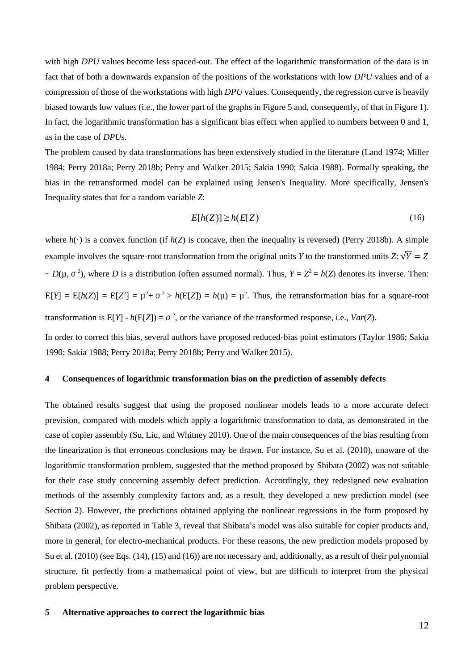with high *DPU* values become less spaced-out. The effect of the logarithmic transformation of the data is in fact that of both a downwards expansion of the positions of the workstations with low *DPU* values and of a compression of those of the workstations with high *DPU* values. Consequently, the regression curve is heavily biased towards low values (i.e., the lower part of the graphs in Figure 5 and, consequently, of that in Figure 1). In fact, the logarithmic transformation has a significant bias effect when applied to numbers between 0 and 1, as in the case of *DPU*s.

The problem caused by data transformations has been extensively studied in the literature (Land 1974; Miller 1984; Perry 2018a; Perry 2018b; Perry and Walker 2015; Sakia 1990; Sakia 1988). Formally speaking, the bias in the retransformed model can be explained using Jensen's Inequality. More specifically, Jensen's Inequality states that for a random variable *Z*:

$$
E[h(Z)] \ge h(E[Z) \tag{16}
$$

where  $h(\cdot)$  is a convex function (if  $h(Z)$  is concave, then the inequality is reversed) (Perry 2018b). A simple example involves the square-root transformation from the original units *Y* to the transformed units *Z*:  $\sqrt{Y} = Z$  $\sim D(\mu, \sigma^2)$ , where *D* is a distribution (often assumed normal). Thus,  $Y = Z^2 = h(Z)$  denotes its inverse. Then:  $E[Y] = E[h(Z)] = E[Z^2] = \mu^2 + \sigma^2 > h(E[Z]) = h(\mu) = \mu^2$ . Thus, the retransformation bias for a square-root transformation is  $E[Y] - h(E[Z]) = \sigma^2$ , or the variance of the transformed response, i.e., *Var*(*Z*).

In order to correct this bias, several authors have proposed reduced-bias point estimators (Taylor 1986; Sakia 1990; Sakia 1988; Perry 2018a; Perry 2018b; Perry and Walker 2015).

## **4 Consequences of logarithmic transformation bias on the prediction of assembly defects**

The obtained results suggest that using the proposed nonlinear models leads to a more accurate defect prevision, compared with models which apply a logarithmic transformation to data, as demonstrated in the case of copier assembly (Su, Liu, and Whitney 2010). One of the main consequences of the bias resulting from the linearization is that erroneous conclusions may be drawn. For instance, Su et al. (2010), unaware of the logarithmic transformation problem, suggested that the method proposed by Shibata (2002) was not suitable for their case study concerning assembly defect prediction. Accordingly, they redesigned new evaluation methods of the assembly complexity factors and, as a result, they developed a new prediction model (see Section 2). However, the predictions obtained applying the nonlinear regressions in the form proposed by Shibata (2002), as reported in Table 3, reveal that Shibata's model was also suitable for copier products and, more in general, for electro-mechanical products. For these reasons, the new prediction models proposed by Su et al. (2010) (see Eqs. (14), (15) and (16)) are not necessary and, additionally, as a result of their polynomial structure, fit perfectly from a mathematical point of view, but are difficult to interpret from the physical problem perspective.

#### **5 Alternative approaches to correct the logarithmic bias**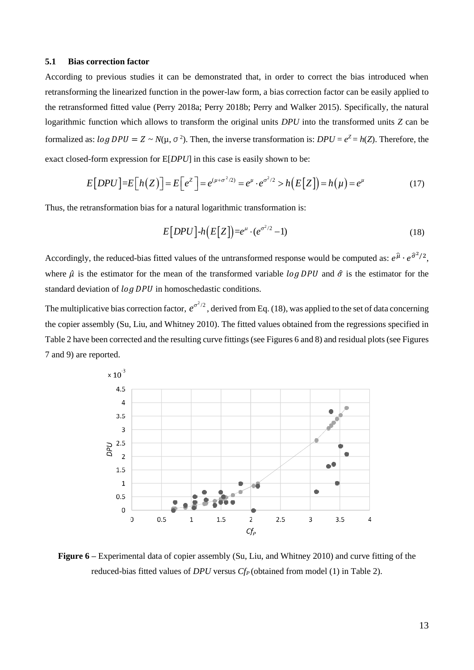## **5.1 Bias correction factor**

According to previous studies it can be demonstrated that, in order to correct the bias introduced when retransforming the linearized function in the power-law form, a bias correction factor can be easily applied to the retransformed fitted value (Perry 2018a; Perry 2018b; Perry and Walker 2015). Specifically, the natural logarithmic function which allows to transform the original units *DPU* into the transformed units *Z* can be formalized as:  $log DPU = Z \sim N(\mu, \sigma^2)$ . Then, the inverse transformation is:  $DPU = e^Z = h(Z)$ . Therefore, the exact closed-form expression for E[*DPU*] in this case is easily shown to be:

$$
E[DPU] = E[h(Z)] = E[e^{z}] = e^{(\mu + \sigma^2/2)} = e^{\mu} \cdot e^{\sigma^2/2} > h(E[Z]) = h(\mu) = e^{\mu}
$$
\n(17)

Thus, the retransformation bias for a natural logarithmic transformation is:

$$
E[DPU] - h(E[Z]) = e^{\mu} \cdot (e^{\sigma^2/2} - 1) \tag{18}
$$

Accordingly, the reduced-bias fitted values of the untransformed response would be computed as:  $e^{\hat{\mu}} \cdot e^{\hat{\sigma}^2/2}$ , where  $\hat{\mu}$  is the estimator for the mean of the transformed variable  $\log DPU$  and  $\hat{\sigma}$  is the estimator for the standard deviation of  $log DPU$  in homoschedastic conditions.

The multiplicative bias correction factor,  $e^{\sigma^2/2}$ , derived from Eq. (18), was applied to the set of data concerning the copier assembly (Su, Liu, and Whitney 2010). The fitted values obtained from the regressions specified in Table 2 have been corrected and the resulting curve fittings (see Figures 6 and 8) and residual plots (see Figures 7 and 9) are reported.



**Figure 6 –** Experimental data of copier assembly (Su, Liu, and Whitney 2010) and curve fitting of the reduced-bias fitted values of *DPU* versus *CfP* (obtained from model (1) in Table 2).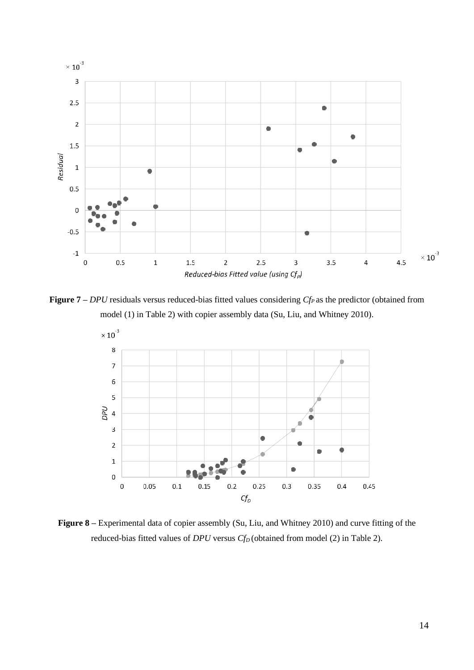

**Figure 7 –** *DPU* residuals versus reduced-bias fitted values considering *CfP* as the predictor (obtained from model (1) in Table 2) with copier assembly data (Su, Liu, and Whitney 2010).



**Figure 8 –** Experimental data of copier assembly (Su, Liu, and Whitney 2010) and curve fitting of the reduced-bias fitted values of *DPU* versus *CfD* (obtained from model (2) in Table 2).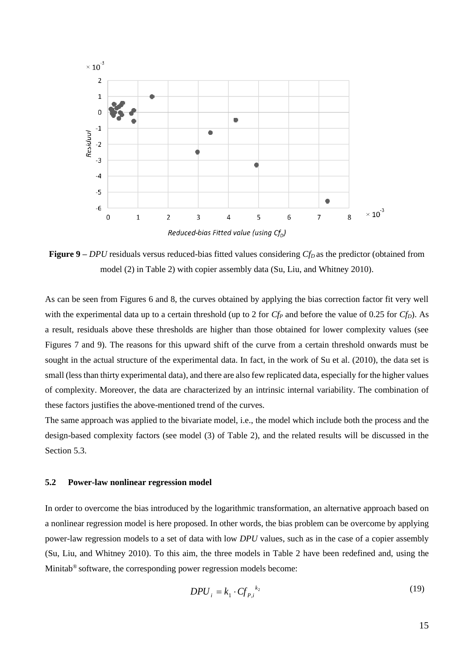

**Figure 9 –** *DPU* residuals versus reduced-bias fitted values considering *CfD* as the predictor (obtained from model (2) in Table 2) with copier assembly data (Su, Liu, and Whitney 2010).

As can be seen from Figures 6 and 8, the curves obtained by applying the bias correction factor fit very well with the experimental data up to a certain threshold (up to 2 for  $C_f^P$  and before the value of 0.25 for  $C_f^P$ ). As a result, residuals above these thresholds are higher than those obtained for lower complexity values (see Figures 7 and 9). The reasons for this upward shift of the curve from a certain threshold onwards must be sought in the actual structure of the experimental data. In fact, in the work of Su et al. (2010), the data set is small (less than thirty experimental data), and there are also few replicated data, especially for the higher values of complexity. Moreover, the data are characterized by an intrinsic internal variability. The combination of these factors justifies the above-mentioned trend of the curves.

The same approach was applied to the bivariate model, i.e., the model which include both the process and the design-based complexity factors (see model (3) of Table 2), and the related results will be discussed in the Section 5.3.

#### **5.2 Power-law nonlinear regression model**

In order to overcome the bias introduced by the logarithmic transformation, an alternative approach based on a nonlinear regression model is here proposed. In other words, the bias problem can be overcome by applying power-law regression models to a set of data with low *DPU* values, such as in the case of a copier assembly (Su, Liu, and Whitney 2010). To this aim, the three models in Table 2 have been redefined and, using the Minitab<sup>®</sup> software, the corresponding power regression models become:

$$
DPU_i = k_1 \cdot C f_{P,i}^{k_2} \tag{19}
$$

15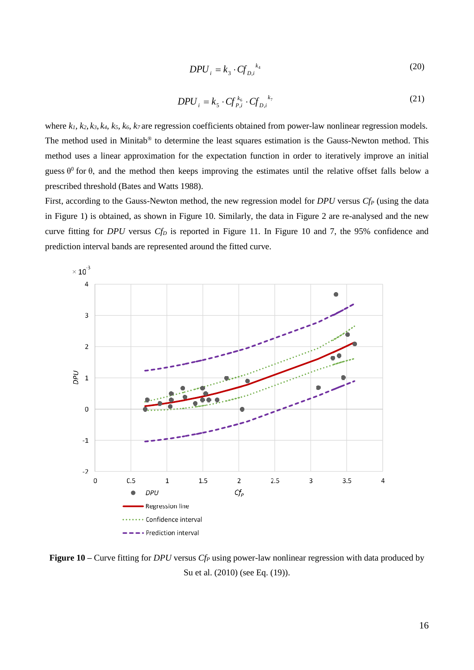$$
DPU_i = k_3 \cdot C f_{D,i}^{k_4} \tag{20}
$$

$$
DPU_i = k_s \cdot Cf_{P,i}^{k_6} \cdot Cf_{D,i}^{k_7}
$$
\n<sup>(21)</sup>

where  $k_1$ ,  $k_2$ ,  $k_3$ ,  $k_4$ ,  $k_5$ ,  $k_6$ ,  $k_7$  are regression coefficients obtained from power-law nonlinear regression models. The method used in Minitab® to determine the least squares estimation is the Gauss-Newton method. This method uses a linear approximation for the expectation function in order to iteratively improve an initial guess  $\theta^0$  for  $\theta$ , and the method then keeps improving the estimates until the relative offset falls below a prescribed threshold (Bates and Watts 1988).

First, according to the Gauss-Newton method, the new regression model for *DPU* versus *Cf<sup>P</sup>* (using the data in Figure 1) is obtained, as shown in Figure 10. Similarly, the data in Figure 2 are re-analysed and the new curve fitting for *DPU* versus *Cf<sup>D</sup>* is reported in Figure 11. In Figure 10 and 7, the 95% confidence and prediction interval bands are represented around the fitted curve.



**Figure 10 –** Curve fitting for *DPU* versus *Cf<sup>P</sup>* using power-law nonlinear regression with data produced by Su et al. (2010) (see Eq. (19)).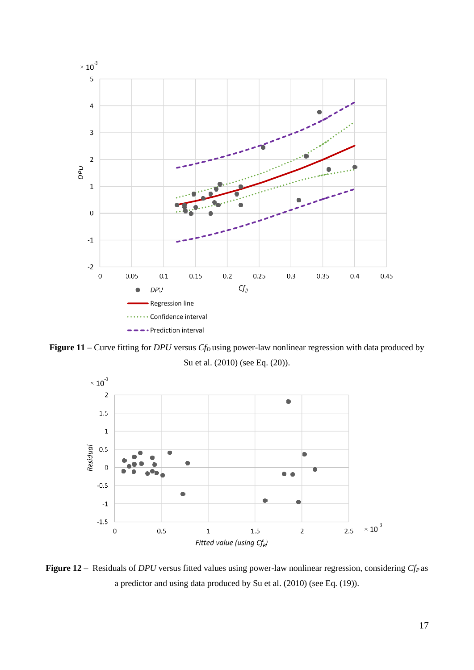

**Figure 11** – Curve fitting for *DPU* versus *Cf<sub>D</sub>* using power-law nonlinear regression with data produced by Su et al. (2010) (see Eq. (20)).



**Figure 12 –** Residuals of *DPU* versus fitted values using power-law nonlinear regression, considering *CfP* as a predictor and using data produced by Su et al. (2010) (see Eq. (19)).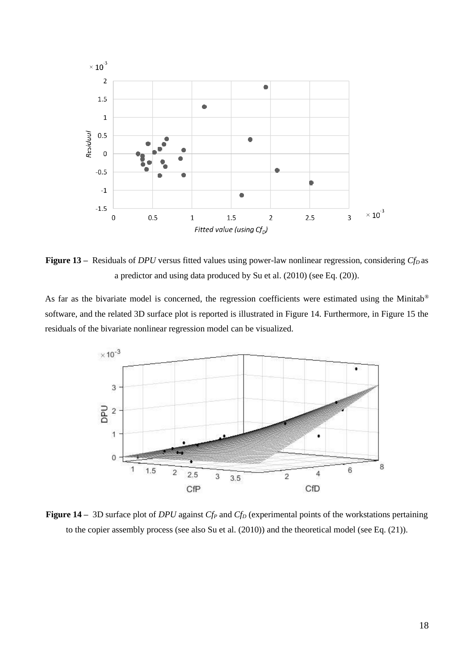

**Figure 13 –** Residuals of *DPU* versus fitted values using power-law nonlinear regression, considering *CfD* as a predictor and using data produced by Su et al. (2010) (see Eq. (20)).

As far as the bivariate model is concerned, the regression coefficients were estimated using the Minitab<sup>®</sup> software, and the related 3D surface plot is reported is illustrated in Figure 14. Furthermore, in Figure 15 the residuals of the bivariate nonlinear regression model can be visualized.



**Figure 14 –** 3D surface plot of *DPU* against *Cf<sup>P</sup>* and *Cf<sup>D</sup>* (experimental points of the workstations pertaining to the copier assembly process (see also Su et al. (2010)) and the theoretical model (see Eq. (21)).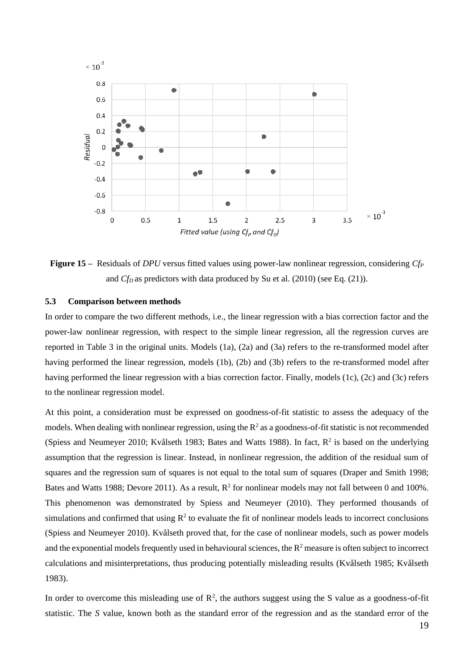

**Figure 15 –** Residuals of *DPU* versus fitted values using power-law nonlinear regression, considering *Cf<sup>P</sup>* and *Cf<sub>D</sub>* as predictors with data produced by Su et al. (2010) (see Eq. (21)).

## **5.3 Comparison between methods**

In order to compare the two different methods, i.e., the linear regression with a bias correction factor and the power-law nonlinear regression, with respect to the simple linear regression, all the regression curves are reported in Table 3 in the original units. Models (1a), (2a) and (3a) refers to the re-transformed model after having performed the linear regression, models (1b), (2b) and (3b) refers to the re-transformed model after having performed the linear regression with a bias correction factor. Finally, models (1c), (2c) and (3c) refers to the nonlinear regression model.

At this point, a consideration must be expressed on goodness-of-fit statistic to assess the adequacy of the models. When dealing with nonlinear regression, using the  $R^2$  as a goodness-of-fit statistic is not recommended (Spiess and Neumeyer 2010; Kvålseth 1983; Bates and Watts 1988). In fact,  $R^2$  is based on the underlying assumption that the regression is linear. Instead, in nonlinear regression, the addition of the residual sum of squares and the regression sum of squares is not equal to the total sum of squares (Draper and Smith 1998; Bates and Watts 1988; Devore 2011). As a result,  $R^2$  for nonlinear models may not fall between 0 and 100%. This phenomenon was demonstrated by Spiess and Neumeyer (2010). They performed thousands of simulations and confirmed that using  $\mathbb{R}^2$  to evaluate the fit of nonlinear models leads to incorrect conclusions (Spiess and Neumeyer 2010). Kvålseth proved that, for the case of nonlinear models, such as power models and the exponential models frequently used in behavioural sciences, the  $R<sup>2</sup>$  measure is often subject to incorrect calculations and misinterpretations, thus producing potentially misleading results (Kvålseth 1985; Kvålseth 1983).

In order to overcome this misleading use of  $\mathbb{R}^2$ , the authors suggest using the S value as a goodness-of-fit statistic. The *S* value, known both as the standard error of the regression and as the standard error of the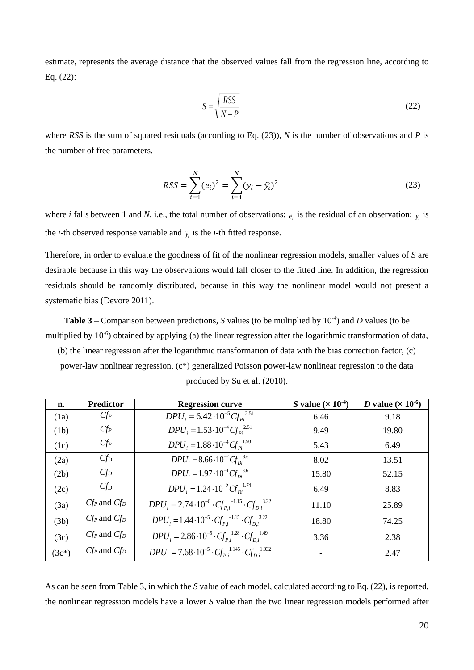estimate, represents the average distance that the observed values fall from the regression line, according to Eq. (22):

$$
S = \sqrt{\frac{RSS}{N - P}}
$$
 (22)

where *RSS* is the sum of squared residuals (according to Eq. (23)), *N* is the number of observations and *P* is the number of free parameters.

$$
RSS = \sum_{i=1}^{N} (e_i)^2 = \sum_{i=1}^{N} (y_i - \hat{y}_i)^2
$$
 (23)

where *i* falls between 1 and *N*, i.e., the total number of observations;  $e_i$  is the residual of an observation;  $y_i$  is the *i*-th observed response variable and  $\hat{y}$  is the *i*-th fitted response.

Therefore, in order to evaluate the goodness of fit of the nonlinear regression models, smaller values of *S* are desirable because in this way the observations would fall closer to the fitted line. In addition, the regression residuals should be randomly distributed, because in this way the nonlinear model would not present a systematic bias (Devore 2011).

**Table 3** – Comparison between predictions, *S* values (to be multiplied by  $10^{-4}$ ) and *D* values (to be multiplied by 10<sup>-6</sup>) obtained by applying (a) the linear regression after the logarithmic transformation of data, (b) the linear regression after the logarithmic transformation of data with the bias correction factor, (c) power-law nonlinear regression, (c\*) generalized Poisson power-law nonlinear regression to the data produced by Su et al. (2010).

| n.      | <b>Predictor</b>  | <b>Regression curve</b>                                                      | S value $(\times 10^{-4})$ | D value ( $\times$ 10 <sup>-6</sup> ) |
|---------|-------------------|------------------------------------------------------------------------------|----------------------------|---------------------------------------|
| (1a)    | $C\!f_P$          | $DPU_i = 6.42 \cdot 10^{-5} C f_{\nu i}^{2.51}$                              | 6.46                       | 9.18                                  |
| (1b)    | $C\!f_P$          | $DPU_i = 1.53 \cdot 10^{-4} C f_{pi}^{2.51}$                                 | 9.49                       | 19.80                                 |
| (1c)    | $C\!f_P$          | $DPU_i = 1.88 \cdot 10^{-4} C f_{pi}^{1.90}$                                 | 5.43                       | 6.49                                  |
| (2a)    | $C\!f_D$          | $DPU_i = 8.66 \cdot 10^{-2} C f_{\text{ns}}^{3.6}$                           | 8.02                       | 13.51                                 |
| (2b)    | $Cf_D$            | $DPU_i = 1.97 \cdot 10^{-1} C f_{Di}^{3.6}$                                  | 15.80                      | 52.15                                 |
| (2c)    | $Cf_D$            | $DPU_i = 1.24 \cdot 10^{-2} C f_{Di}^{1.74}$                                 | 6.49                       | 8.83                                  |
| (3a)    | $C_f$ and $C_f$   | $DPU_i = 2.74 \cdot 10^{-6} \cdot C f_{pi}^{-1.15} \cdot C f_{pi}^{-3.22}$   | 11.10                      | 25.89                                 |
| (3b)    | $Cf_P$ and $Cf_D$ | $DPU_i = 1.44 \cdot 10^{-5} \cdot C f_p^{-1.15} \cdot C f_n^{3.22}$          | 18.80                      | 74.25                                 |
| (3c)    | $C_f$ and $C_f$   | $DPU_i = 2.86 \cdot 10^{-5} \cdot C f_{P_i}^{1.28} \cdot C f_{D_i}^{1.49}$   | 3.36                       | 2.38                                  |
| $(3c*)$ | $Cf_P$ and $Cf_D$ | $DPU_i = 7.68 \cdot 10^{-5} \cdot C f_{P_i}^{1.145} \cdot C f_{D_i}^{1.032}$ |                            | 2.47                                  |

As can be seen from Table 3, in which the *S* value of each model, calculated according to Eq. (22), is reported, the nonlinear regression models have a lower *S* value than the two linear regression models performed after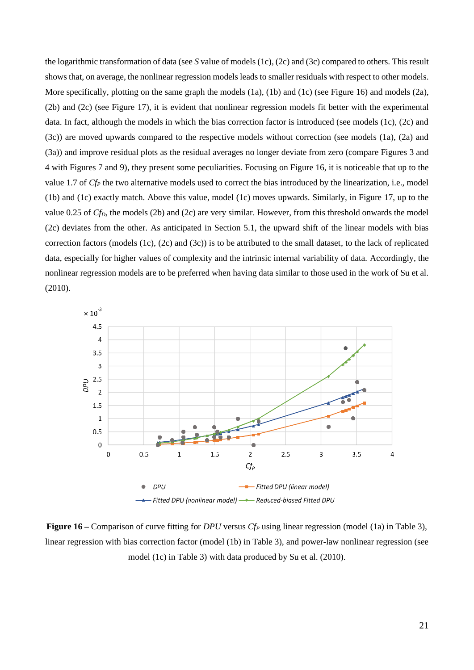the logarithmic transformation of data (see *S* value of models (1c), (2c) and (3c) compared to others. This result shows that, on average, the nonlinear regression models leads to smaller residuals with respect to other models. More specifically, plotting on the same graph the models (1a), (1b) and (1c) (see Figure 16) and models (2a), (2b) and (2c) (see Figure 17), it is evident that nonlinear regression models fit better with the experimental data. In fact, although the models in which the bias correction factor is introduced (see models (1c), (2c) and (3c)) are moved upwards compared to the respective models without correction (see models (1a), (2a) and (3a)) and improve residual plots as the residual averages no longer deviate from zero (compare Figures 3 and 4 with Figures 7 and 9), they present some peculiarities. Focusing on Figure 16, it is noticeable that up to the value 1.7 of *Cf<sub>P</sub>* the two alternative models used to correct the bias introduced by the linearization, i.e., model (1b) and (1c) exactly match. Above this value, model (1c) moves upwards. Similarly, in Figure 17, up to the value 0.25 of *CfD*, the models (2b) and (2c) are very similar. However, from this threshold onwards the model (2c) deviates from the other. As anticipated in Section 5.1, the upward shift of the linear models with bias correction factors (models (1c), (2c) and (3c)) is to be attributed to the small dataset, to the lack of replicated data, especially for higher values of complexity and the intrinsic internal variability of data. Accordingly, the nonlinear regression models are to be preferred when having data similar to those used in the work of Su et al. (2010).



**Figure 16** – Comparison of curve fitting for *DPU* versus *Cf<sub>P</sub>* using linear regression (model (1a) in Table 3), linear regression with bias correction factor (model (1b) in Table 3), and power-law nonlinear regression (see model (1c) in Table 3) with data produced by Su et al. (2010).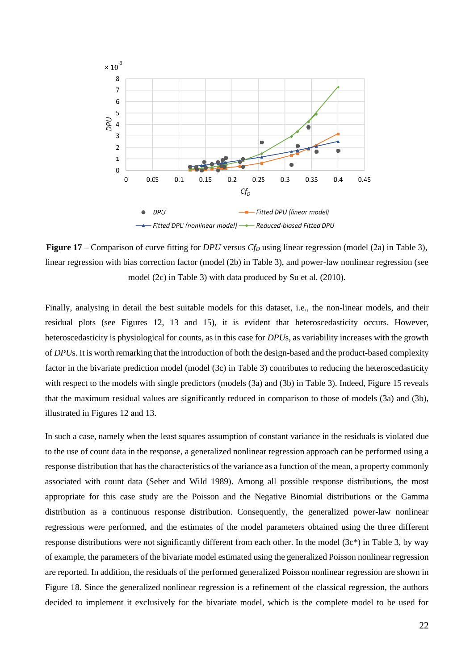

**Figure 17 –** Comparison of curve fitting for *DPU* versus *Cf<sup>D</sup>* using linear regression (model (2a) in Table 3), linear regression with bias correction factor (model (2b) in Table 3), and power-law nonlinear regression (see model (2c) in Table 3) with data produced by Su et al. (2010).

Finally, analysing in detail the best suitable models for this dataset, i.e., the non-linear models, and their residual plots (see Figures 12, 13 and 15), it is evident that heteroscedasticity occurs. However, heteroscedasticity is physiological for counts, as in this case for *DPU*s, as variability increases with the growth of *DPU*s. It is worth remarking that the introduction of both the design-based and the product-based complexity factor in the bivariate prediction model (model (3c) in Table 3) contributes to reducing the heteroscedasticity with respect to the models with single predictors (models (3a) and (3b) in Table 3). Indeed, Figure 15 reveals that the maximum residual values are significantly reduced in comparison to those of models (3a) and (3b), illustrated in Figures 12 and 13.

In such a case, namely when the least squares assumption of constant variance in the residuals is violated due to the use of count data in the response, a generalized nonlinear regression approach can be performed using a response distribution that has the characteristics of the variance as a function of the mean, a property commonly associated with count data (Seber and Wild 1989). Among all possible response distributions, the most appropriate for this case study are the Poisson and the Negative Binomial distributions or the Gamma distribution as a continuous response distribution. Consequently, the generalized power-law nonlinear regressions were performed, and the estimates of the model parameters obtained using the three different response distributions were not significantly different from each other. In the model (3c\*) in Table 3, by way of example, the parameters of the bivariate model estimated using the generalized Poisson nonlinear regression are reported. In addition, the residuals of the performed generalized Poisson nonlinear regression are shown in Figure 18. Since the generalized nonlinear regression is a refinement of the classical regression, the authors decided to implement it exclusively for the bivariate model, which is the complete model to be used for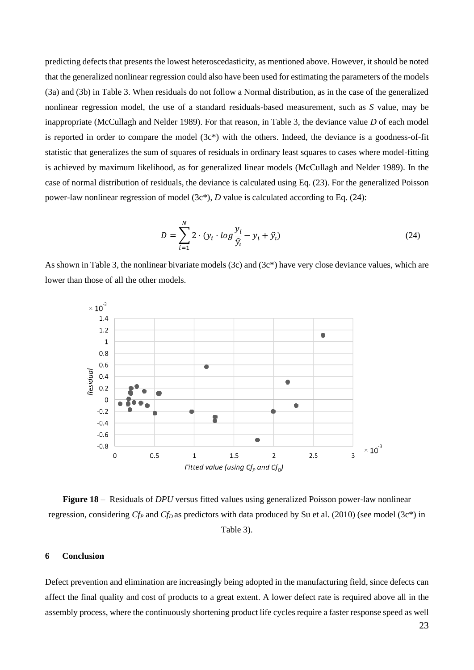predicting defects that presents the lowest heteroscedasticity, as mentioned above. However, it should be noted that the generalized nonlinear regression could also have been used for estimating the parameters of the models (3a) and (3b) in Table 3. When residuals do not follow a Normal distribution, as in the case of the generalized nonlinear regression model, the use of a standard residuals-based measurement, such as *S* value, may be inappropriate (McCullagh and Nelder 1989). For that reason, in Table 3, the deviance value *D* of each model is reported in order to compare the model  $(3c^*)$  with the others. Indeed, the deviance is a goodness-of-fit statistic that generalizes the sum of squares of residuals in ordinary least squares to cases where model-fitting is achieved by maximum likelihood, as for generalized linear models (McCullagh and Nelder 1989). In the case of normal distribution of residuals, the deviance is calculated using Eq. (23). For the generalized Poisson power-law nonlinear regression of model (3c\*), *D* value is calculated according to Eq. (24):

$$
D = \sum_{i=1}^{N} 2 \cdot (y_i \cdot \log \frac{y_i}{\hat{y}_i} - y_i + \hat{y}_i)
$$
 (24)

As shown in Table 3, the nonlinear bivariate models (3c) and (3c\*) have very close deviance values, which are lower than those of all the other models.



**Figure 18 –** Residuals of *DPU* versus fitted values using generalized Poisson power-law nonlinear regression, considering *Cf<sup>P</sup>* and *CfD* as predictors with data produced by Su et al. (2010) (see model (3c\*) in Table 3).

#### **6 Conclusion**

Defect prevention and elimination are increasingly being adopted in the manufacturing field, since defects can affect the final quality and cost of products to a great extent. A lower defect rate is required above all in the assembly process, where the continuously shortening product life cycles require a faster response speed as well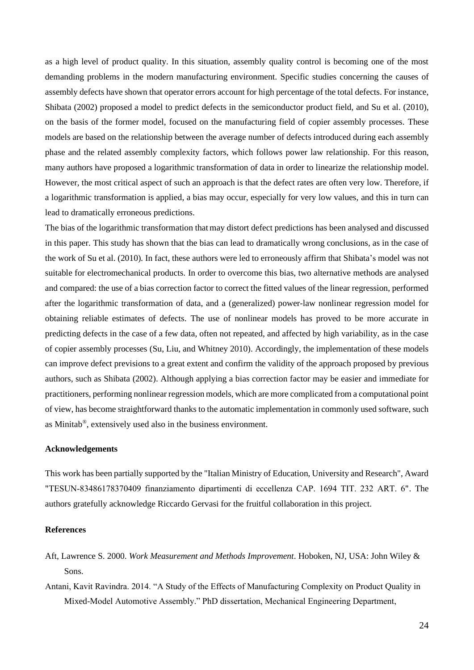as a high level of product quality. In this situation, assembly quality control is becoming one of the most demanding problems in the modern manufacturing environment. Specific studies concerning the causes of assembly defects have shown that operator errors account for high percentage of the total defects. For instance, Shibata (2002) proposed a model to predict defects in the semiconductor product field, and Su et al. (2010), on the basis of the former model, focused on the manufacturing field of copier assembly processes. These models are based on the relationship between the average number of defects introduced during each assembly phase and the related assembly complexity factors, which follows power law relationship. For this reason, many authors have proposed a logarithmic transformation of data in order to linearize the relationship model. However, the most critical aspect of such an approach is that the defect rates are often very low. Therefore, if a logarithmic transformation is applied, a bias may occur, especially for very low values, and this in turn can lead to dramatically erroneous predictions.

The bias of the logarithmic transformation that may distort defect predictions has been analysed and discussed in this paper. This study has shown that the bias can lead to dramatically wrong conclusions, as in the case of the work of Su et al. (2010)*.* In fact, these authors were led to erroneously affirm that Shibata's model was not suitable for electromechanical products. In order to overcome this bias, two alternative methods are analysed and compared: the use of a bias correction factor to correct the fitted values of the linear regression, performed after the logarithmic transformation of data, and a (generalized) power-law nonlinear regression model for obtaining reliable estimates of defects. The use of nonlinear models has proved to be more accurate in predicting defects in the case of a few data, often not repeated, and affected by high variability, as in the case of copier assembly processes (Su, Liu, and Whitney 2010). Accordingly, the implementation of these models can improve defect previsions to a great extent and confirm the validity of the approach proposed by previous authors, such as Shibata (2002). Although applying a bias correction factor may be easier and immediate for practitioners, performing nonlinear regression models, which are more complicated from a computational point of view, has become straightforward thanks to the automatic implementation in commonly used software, such as Minitab®, extensively used also in the business environment.

#### **Acknowledgements**

This work has been partially supported by the "Italian Ministry of Education, University and Research", Award "TESUN‐83486178370409 finanziamento dipartimenti di eccellenza CAP. 1694 TIT. 232 ART. 6". The authors gratefully acknowledge Riccardo Gervasi for the fruitful collaboration in this project.

## **References**

- Aft, Lawrence S. 2000. *Work Measurement and Methods Improvement*. Hoboken, NJ, USA: John Wiley & Sons.
- Antani, Kavit Ravindra. 2014. "A Study of the Effects of Manufacturing Complexity on Product Quality in Mixed-Model Automotive Assembly." PhD dissertation, Mechanical Engineering Department,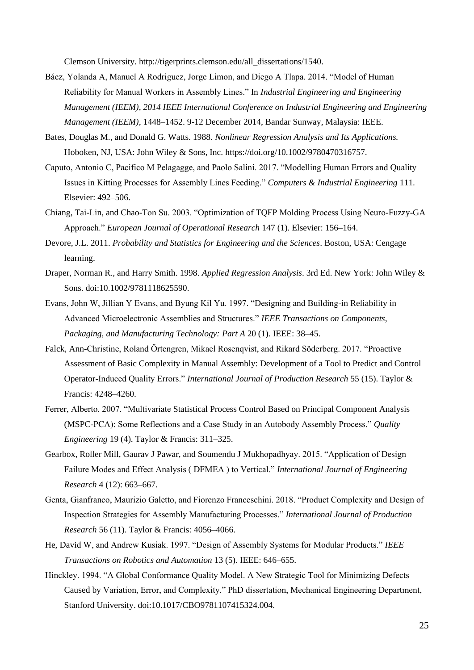Clemson University. http://tigerprints.clemson.edu/all\_dissertations/1540.

- Báez, Yolanda A, Manuel A Rodriguez, Jorge Limon, and Diego A Tlapa. 2014. "Model of Human Reliability for Manual Workers in Assembly Lines." In *Industrial Engineering and Engineering Management (IEEM), 2014 IEEE International Conference on Industrial Engineering and Engineering Management (IEEM)*, 1448–1452. 9-12 December 2014, Bandar Sunway, Malaysia: IEEE.
- Bates, Douglas M., and Donald G. Watts. 1988. *Nonlinear Regression Analysis and Its Applications.* Hoboken, NJ, USA: John Wiley & Sons, Inc. https://doi.org/10.1002/9780470316757.
- Caputo, Antonio C, Pacifico M Pelagagge, and Paolo Salini. 2017. "Modelling Human Errors and Quality Issues in Kitting Processes for Assembly Lines Feeding." *Computers & Industrial Engineering* 111. Elsevier: 492–506.
- Chiang, Tai-Lin, and Chao-Ton Su. 2003. "Optimization of TQFP Molding Process Using Neuro-Fuzzy-GA Approach." *European Journal of Operational Research* 147 (1). Elsevier: 156–164.
- Devore, J.L. 2011. *Probability and Statistics for Engineering and the Sciences*. Boston, USA: Cengage learning.
- Draper, Norman R., and Harry Smith. 1998. *Applied Regression Analysis*. 3rd Ed. New York: John Wiley & Sons. doi:10.1002/9781118625590.
- Evans, John W, Jillian Y Evans, and Byung Kil Yu. 1997. "Designing and Building-in Reliability in Advanced Microelectronic Assemblies and Structures." *IEEE Transactions on Components, Packaging, and Manufacturing Technology: Part A* 20 (1). IEEE: 38–45.
- Falck, Ann-Christine, Roland Örtengren, Mikael Rosenqvist, and Rikard Söderberg. 2017. "Proactive Assessment of Basic Complexity in Manual Assembly: Development of a Tool to Predict and Control Operator-Induced Quality Errors." *International Journal of Production Research* 55 (15). Taylor & Francis: 4248–4260.
- Ferrer, Alberto. 2007. "Multivariate Statistical Process Control Based on Principal Component Analysis (MSPC-PCA): Some Reflections and a Case Study in an Autobody Assembly Process." *Quality Engineering* 19 (4). Taylor & Francis: 311–325.
- Gearbox, Roller Mill, Gaurav J Pawar, and Soumendu J Mukhopadhyay. 2015. "Application of Design Failure Modes and Effect Analysis ( DFMEA ) to Vertical." *International Journal of Engineering Research* 4 (12): 663–667.
- Genta, Gianfranco, Maurizio Galetto, and Fiorenzo Franceschini. 2018. "Product Complexity and Design of Inspection Strategies for Assembly Manufacturing Processes." *International Journal of Production Research* 56 (11). Taylor & Francis: 4056–4066.
- He, David W, and Andrew Kusiak. 1997. "Design of Assembly Systems for Modular Products." *IEEE Transactions on Robotics and Automation* 13 (5). IEEE: 646–655.
- Hinckley. 1994. "A Global Conformance Quality Model. A New Strategic Tool for Minimizing Defects Caused by Variation, Error, and Complexity." PhD dissertation, Mechanical Engineering Department, Stanford University. doi:10.1017/CBO9781107415324.004.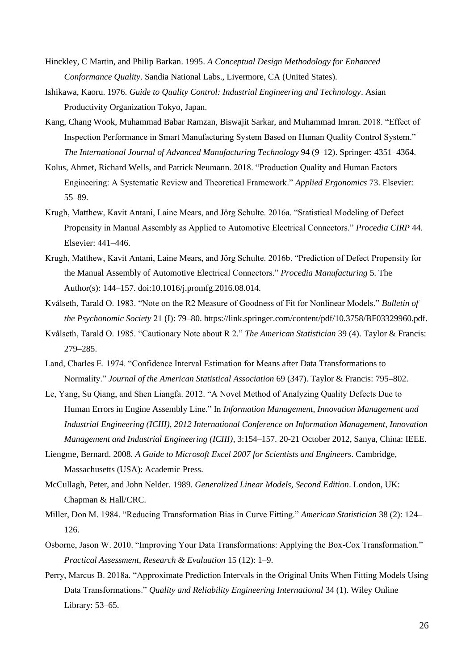- Hinckley, C Martin, and Philip Barkan. 1995. *A Conceptual Design Methodology for Enhanced Conformance Quality*. Sandia National Labs., Livermore, CA (United States).
- Ishikawa, Kaoru. 1976. *Guide to Quality Control: Industrial Engineering and Technology*. Asian Productivity Organization Tokyo, Japan.
- Kang, Chang Wook, Muhammad Babar Ramzan, Biswajit Sarkar, and Muhammad Imran. 2018. "Effect of Inspection Performance in Smart Manufacturing System Based on Human Quality Control System." *The International Journal of Advanced Manufacturing Technology* 94 (9–12). Springer: 4351–4364.
- Kolus, Ahmet, Richard Wells, and Patrick Neumann. 2018. "Production Quality and Human Factors Engineering: A Systematic Review and Theoretical Framework." *Applied Ergonomics* 73. Elsevier: 55–89.
- Krugh, Matthew, Kavit Antani, Laine Mears, and Jörg Schulte. 2016a. "Statistical Modeling of Defect Propensity in Manual Assembly as Applied to Automotive Electrical Connectors." *Procedia CIRP* 44. Elsevier: 441–446.
- Krugh, Matthew, Kavit Antani, Laine Mears, and Jörg Schulte. 2016b. "Prediction of Defect Propensity for the Manual Assembly of Automotive Electrical Connectors." *Procedia Manufacturing* 5. The Author(s): 144–157. doi:10.1016/j.promfg.2016.08.014.
- Kvålseth, Tarald O. 1983. "Note on the R2 Measure of Goodness of Fit for Nonlinear Models." *Bulletin of the Psychonomic Society* 21 (I): 79–80. https://link.springer.com/content/pdf/10.3758/BF03329960.pdf.
- Kvålseth, Tarald O. 1985. "Cautionary Note about R 2." *The American Statistician* 39 (4). Taylor & Francis: 279–285.
- Land, Charles E. 1974. "Confidence Interval Estimation for Means after Data Transformations to Normality." *Journal of the American Statistical Association* 69 (347). Taylor & Francis: 795–802.
- Le, Yang, Su Qiang, and Shen Liangfa. 2012. "A Novel Method of Analyzing Quality Defects Due to Human Errors in Engine Assembly Line." In *Information Management, Innovation Management and Industrial Engineering (ICIII), 2012 International Conference on Information Management, Innovation Management and Industrial Engineering (ICIII)*, 3:154–157. 20-21 October 2012, Sanya, China: IEEE.
- Liengme, Bernard. 2008. *A Guide to Microsoft Excel 2007 for Scientists and Engineers*. Cambridge, Massachusetts (USA): Academic Press.
- McCullagh, Peter, and John Nelder. 1989. *Generalized Linear Models, Second Edition*. London, UK: Chapman & Hall/CRC.
- Miller, Don M. 1984. "Reducing Transformation Bias in Curve Fitting." *American Statistician* 38 (2): 124– 126.
- Osborne, Jason W. 2010. "Improving Your Data Transformations: Applying the Box-Cox Transformation." *Practical Assessment, Research & Evaluation* 15 (12): 1–9.
- Perry, Marcus B. 2018a. "Approximate Prediction Intervals in the Original Units When Fitting Models Using Data Transformations." *Quality and Reliability Engineering International* 34 (1). Wiley Online Library: 53–65.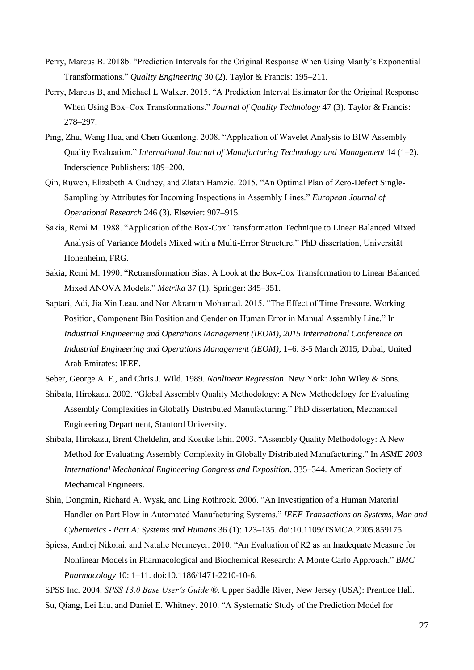- Perry, Marcus B. 2018b. "Prediction Intervals for the Original Response When Using Manly's Exponential Transformations." *Quality Engineering* 30 (2). Taylor & Francis: 195–211.
- Perry, Marcus B, and Michael L Walker. 2015. "A Prediction Interval Estimator for the Original Response When Using Box–Cox Transformations." *Journal of Quality Technology* 47 (3). Taylor & Francis: 278–297.
- Ping, Zhu, Wang Hua, and Chen Guanlong. 2008. "Application of Wavelet Analysis to BIW Assembly Quality Evaluation." *International Journal of Manufacturing Technology and Management* 14 (1–2). Inderscience Publishers: 189–200.
- Qin, Ruwen, Elizabeth A Cudney, and Zlatan Hamzic. 2015. "An Optimal Plan of Zero-Defect Single-Sampling by Attributes for Incoming Inspections in Assembly Lines." *European Journal of Operational Research* 246 (3). Elsevier: 907–915.
- Sakia, Remi M. 1988. "Application of the Box-Cox Transformation Technique to Linear Balanced Mixed Analysis of Variance Models Mixed with a Multi-Error Structure." PhD dissertation, Universität Hohenheim, FRG.
- Sakia, Remi M. 1990. "Retransformation Bias: A Look at the Box-Cox Transformation to Linear Balanced Mixed ANOVA Models." *Metrika* 37 (1). Springer: 345–351.
- Saptari, Adi, Jia Xin Leau, and Nor Akramin Mohamad. 2015. "The Effect of Time Pressure, Working Position, Component Bin Position and Gender on Human Error in Manual Assembly Line." In *Industrial Engineering and Operations Management (IEOM), 2015 International Conference on Industrial Engineering and Operations Management (IEOM)*, 1–6. 3-5 March 2015, Dubai, United Arab Emirates: IEEE.

Seber, George A. F., and Chris J. Wild. 1989. *Nonlinear Regression*. New York: John Wiley & Sons.

- Shibata, Hirokazu. 2002. "Global Assembly Quality Methodology: A New Methodology for Evaluating Assembly Complexities in Globally Distributed Manufacturing." PhD dissertation, Mechanical Engineering Department, Stanford University.
- Shibata, Hirokazu, Brent Cheldelin, and Kosuke Ishii. 2003. "Assembly Quality Methodology: A New Method for Evaluating Assembly Complexity in Globally Distributed Manufacturing." In *ASME 2003 International Mechanical Engineering Congress and Exposition*, 335–344. American Society of Mechanical Engineers.
- Shin, Dongmin, Richard A. Wysk, and Ling Rothrock. 2006. "An Investigation of a Human Material Handler on Part Flow in Automated Manufacturing Systems." *IEEE Transactions on Systems, Man and Cybernetics - Part A: Systems and Humans* 36 (1): 123–135. doi:10.1109/TSMCA.2005.859175.
- Spiess, Andrej Nikolai, and Natalie Neumeyer. 2010. "An Evaluation of R2 as an Inadequate Measure for Nonlinear Models in Pharmacological and Biochemical Research: A Monte Carlo Approach." *BMC Pharmacology* 10: 1–11. doi:10.1186/1471-2210-10-6.
- SPSS Inc. 2004. *SPSS 13.0 Base User's Guide ®*. Upper Saddle River, New Jersey (USA): Prentice Hall. Su, Qiang, Lei Liu, and Daniel E. Whitney. 2010. "A Systematic Study of the Prediction Model for